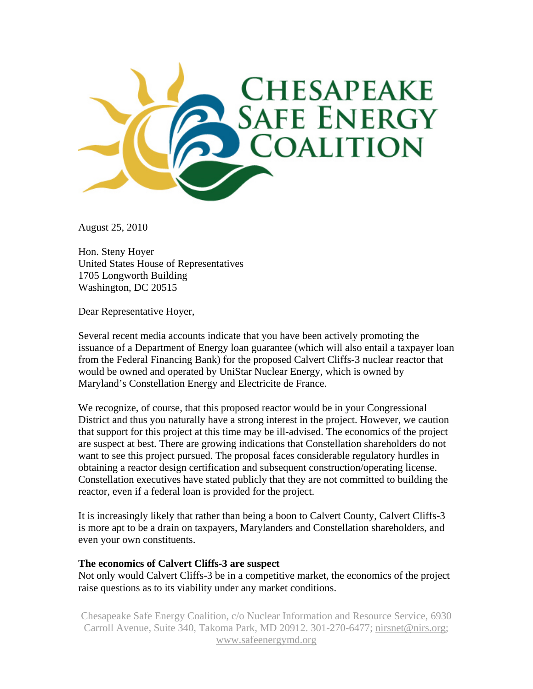

August 25, 2010

Hon. Steny Hoyer United States House of Representatives 1705 Longworth Building Washington, DC 20515

Dear Representative Hoyer,

Several recent media accounts indicate that you have been actively promoting the issuance of a Department of Energy loan guarantee (which will also entail a taxpayer loan from the Federal Financing Bank) for the proposed Calvert Cliffs-3 nuclear reactor that would be owned and operated by UniStar Nuclear Energy, which is owned by Maryland's Constellation Energy and Electricite de France.

We recognize, of course, that this proposed reactor would be in your Congressional District and thus you naturally have a strong interest in the project. However, we caution that support for this project at this time may be ill-advised. The economics of the project are suspect at best. There are growing indications that Constellation shareholders do not want to see this project pursued. The proposal faces considerable regulatory hurdles in obtaining a reactor design certification and subsequent construction/operating license. Constellation executives have stated publicly that they are not committed to building the reactor, even if a federal loan is provided for the project.

It is increasingly likely that rather than being a boon to Calvert County, Calvert Cliffs-3 is more apt to be a drain on taxpayers, Marylanders and Constellation shareholders, and even your own constituents.

### **The economics of Calvert Cliffs-3 are suspect**

Not only would Calvert Cliffs-3 be in a competitive market, the economics of the project raise questions as to its viability under any market conditions.

Chesapeake Safe Energy Coalition, c/o Nuclear Information and Resource Service, 6930 Carroll Avenue, Suite 340, Takoma Park, MD 20912. 301-270-6477; nirsnet@nirs.org; www.safeenergymd.org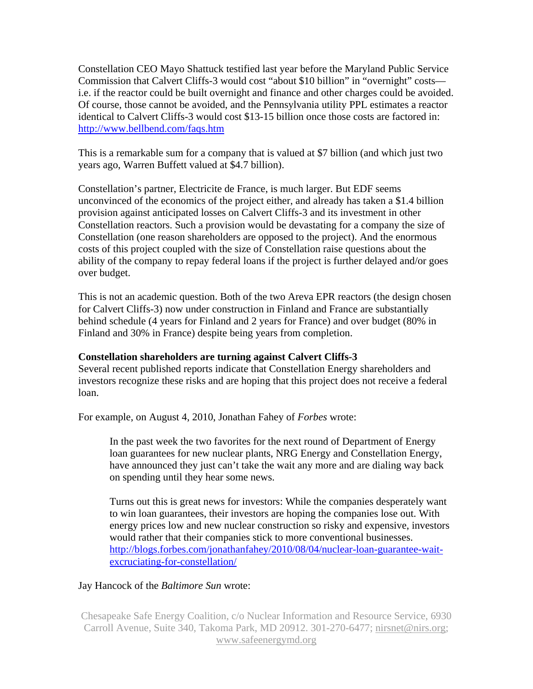Constellation CEO Mayo Shattuck testified last year before the Maryland Public Service Commission that Calvert Cliffs-3 would cost "about \$10 billion" in "overnight" costs i.e. if the reactor could be built overnight and finance and other charges could be avoided. Of course, those cannot be avoided, and the Pennsylvania utility PPL estimates a reactor identical to Calvert Cliffs-3 would cost \$13-15 billion once those costs are factored in: http://www.bellbend.com/faqs.htm

This is a remarkable sum for a company that is valued at \$7 billion (and which just two years ago, Warren Buffett valued at \$4.7 billion).

Constellation's partner, Electricite de France, is much larger. But EDF seems unconvinced of the economics of the project either, and already has taken a \$1.4 billion provision against anticipated losses on Calvert Cliffs-3 and its investment in other Constellation reactors. Such a provision would be devastating for a company the size of Constellation (one reason shareholders are opposed to the project). And the enormous costs of this project coupled with the size of Constellation raise questions about the ability of the company to repay federal loans if the project is further delayed and/or goes over budget.

This is not an academic question. Both of the two Areva EPR reactors (the design chosen for Calvert Cliffs-3) now under construction in Finland and France are substantially behind schedule (4 years for Finland and 2 years for France) and over budget (80% in Finland and 30% in France) despite being years from completion.

## **Constellation shareholders are turning against Calvert Cliffs-3**

Several recent published reports indicate that Constellation Energy shareholders and investors recognize these risks and are hoping that this project does not receive a federal loan.

For example, on August 4, 2010, Jonathan Fahey of *Forbes* wrote:

In the past week the two favorites for the next round of Department of Energy loan guarantees for new nuclear plants, NRG Energy and Constellation Energy, have announced they just can't take the wait any more and are dialing way back on spending until they hear some news.

Turns out this is great news for investors: While the companies desperately want to win loan guarantees, their investors are hoping the companies lose out. With energy prices low and new nuclear construction so risky and expensive, investors would rather that their companies stick to more conventional businesses. http://blogs.forbes.com/jonathanfahey/2010/08/04/nuclear-loan-guarantee-waitexcruciating-for-constellation/

## Jay Hancock of the *Baltimore Sun* wrote:

Chesapeake Safe Energy Coalition, c/o Nuclear Information and Resource Service, 6930 Carroll Avenue, Suite 340, Takoma Park, MD 20912. 301-270-6477; nirsnet@nirs.org; www.safeenergymd.org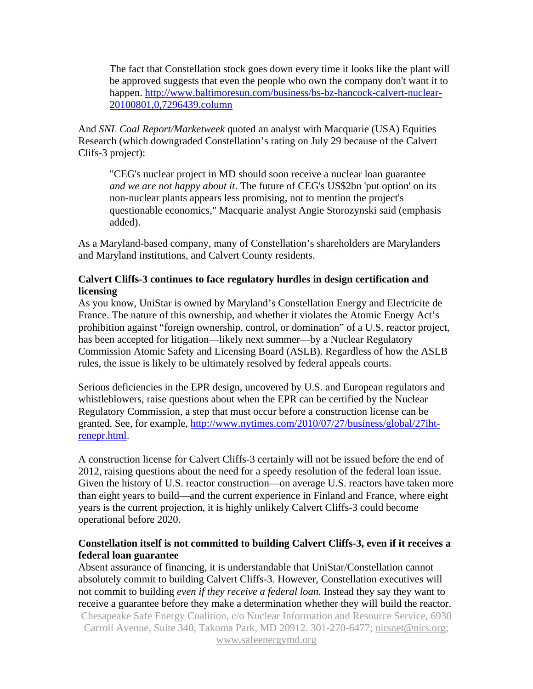The fact that Constellation stock goes down every time it looks like the plant will be approved suggests that even the people who own the company don't want it to happen. http://www.baltimoresun.com/business/bs-bz-hancock-calvert-nuclear-20100801,0,7296439.column

And *SNL Coal Report/Marketweek* quoted an analyst with Macquarie (USA) Equities Research (which downgraded Constellation's rating on July 29 because of the Calvert Clifs-3 project):

"CEG's nuclear project in MD should soon receive a nuclear loan guarantee *and we are not happy about it*. The future of CEG's US\$2bn 'put option' on its non-nuclear plants appears less promising, not to mention the project's questionable economics," Macquarie analyst Angie Storozynski said (emphasis added).

As a Maryland-based company, many of Constellation's shareholders are Marylanders and Maryland institutions, and Calvert County residents.

# **Calvert Cliffs-3 continues to face regulatory hurdles in design certification and licensing**

As you know, UniStar is owned by Maryland's Constellation Energy and Electricite de France. The nature of this ownership, and whether it violates the Atomic Energy Act's prohibition against "foreign ownership, control, or domination" of a U.S. reactor project, has been accepted for litigation—likely next summer—by a Nuclear Regulatory Commission Atomic Safety and Licensing Board (ASLB). Regardless of how the ASLB rules, the issue is likely to be ultimately resolved by federal appeals courts.

Serious deficiencies in the EPR design, uncovered by U.S. and European regulators and whistleblowers, raise questions about when the EPR can be certified by the Nuclear Regulatory Commission, a step that must occur before a construction license can be granted. See, for example, http://www.nytimes.com/2010/07/27/business/global/27ihtrenepr.html.

A construction license for Calvert Cliffs-3 certainly will not be issued before the end of 2012, raising questions about the need for a speedy resolution of the federal loan issue. Given the history of U.S. reactor construction—on average U.S. reactors have taken more than eight years to build—and the current experience in Finland and France, where eight years is the current projection, it is highly unlikely Calvert Cliffs-3 could become operational before 2020.

# **Constellation itself is not committed to building Calvert Cliffs-3, even if it receives a federal loan guarantee**

Chesapeake Safe Energy Coalition, c/o Nuclear Information and Resource Service, 6930 Carroll Avenue, Suite 340, Takoma Park, MD 20912. 301-270-6477; nirsnet@nirs.org; www.safeenergymd.org Absent assurance of financing, it is understandable that UniStar/Constellation cannot absolutely commit to building Calvert Cliffs-3. However, Constellation executives will not commit to building *even if they receive a federal loan.* Instead they say they want to receive a guarantee before they make a determination whether they will build the reactor.